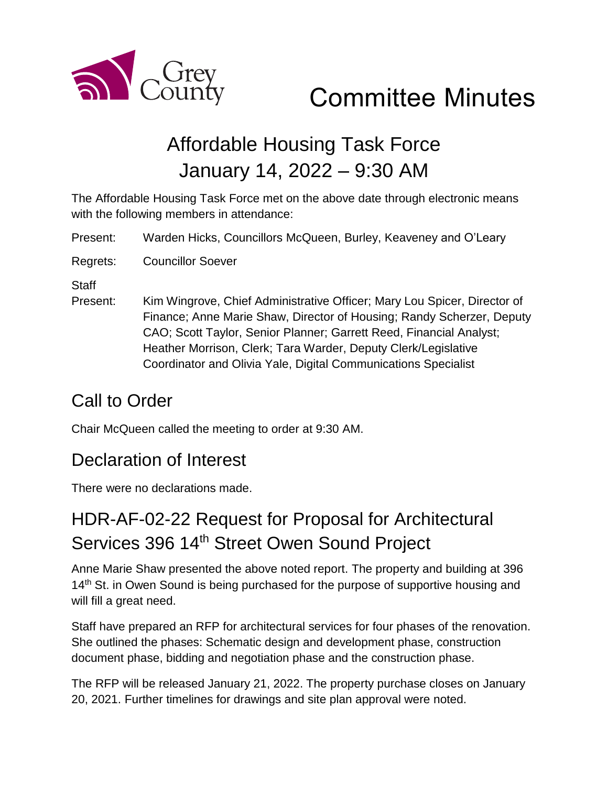

# Affordable Housing Task Force January 14, 2022 – 9:30 AM

The Affordable Housing Task Force met on the above date through electronic means with the following members in attendance:

Present: Warden Hicks, Councillors McQueen, Burley, Keaveney and O'Leary

Regrets: Councillor Soever

**Staff** 

Present: Kim Wingrove, Chief Administrative Officer; Mary Lou Spicer, Director of Finance; Anne Marie Shaw, Director of Housing; Randy Scherzer, Deputy CAO; Scott Taylor, Senior Planner; Garrett Reed, Financial Analyst; Heather Morrison, Clerk; Tara Warder, Deputy Clerk/Legislative Coordinator and Olivia Yale, Digital Communications Specialist

## Call to Order

Chair McQueen called the meeting to order at 9:30 AM.

### Declaration of Interest

There were no declarations made.

## HDR-AF-02-22 Request for Proposal for Architectural Services 396 14<sup>th</sup> Street Owen Sound Project

Anne Marie Shaw presented the above noted report. The property and building at 396 14<sup>th</sup> St. in Owen Sound is being purchased for the purpose of supportive housing and will fill a great need.

Staff have prepared an RFP for architectural services for four phases of the renovation. She outlined the phases: Schematic design and development phase, construction document phase, bidding and negotiation phase and the construction phase.

The RFP will be released January 21, 2022. The property purchase closes on January 20, 2021. Further timelines for drawings and site plan approval were noted.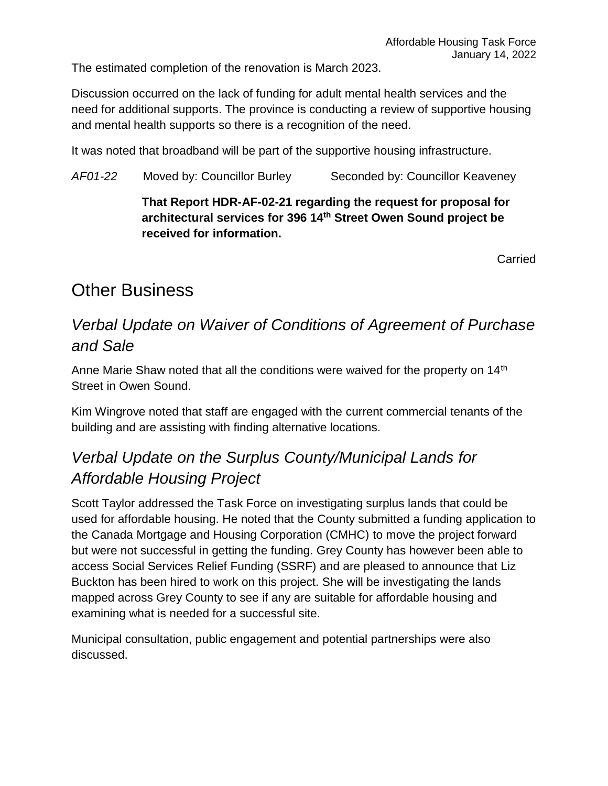The estimated completion of the renovation is March 2023.

Discussion occurred on the lack of funding for adult mental health services and the need for additional supports. The province is conducting a review of supportive housing and mental health supports so there is a recognition of the need.

It was noted that broadband will be part of the supportive housing infrastructure.

*AF01-22* Moved by: Councillor Burley Seconded by: Councillor Keaveney

#### **That Report HDR-AF-02-21 regarding the request for proposal for architectural services for 396 14th Street Owen Sound project be received for information.**

**Carried** 

## Other Business

### *Verbal Update on Waiver of Conditions of Agreement of Purchase and Sale*

Anne Marie Shaw noted that all the conditions were waived for the property on 14<sup>th</sup> Street in Owen Sound.

Kim Wingrove noted that staff are engaged with the current commercial tenants of the building and are assisting with finding alternative locations.

### *Verbal Update on the Surplus County/Municipal Lands for Affordable Housing Project*

Scott Taylor addressed the Task Force on investigating surplus lands that could be used for affordable housing. He noted that the County submitted a funding application to the Canada Mortgage and Housing Corporation (CMHC) to move the project forward but were not successful in getting the funding. Grey County has however been able to access Social Services Relief Funding (SSRF) and are pleased to announce that Liz Buckton has been hired to work on this project. She will be investigating the lands mapped across Grey County to see if any are suitable for affordable housing and examining what is needed for a successful site.

Municipal consultation, public engagement and potential partnerships were also discussed.